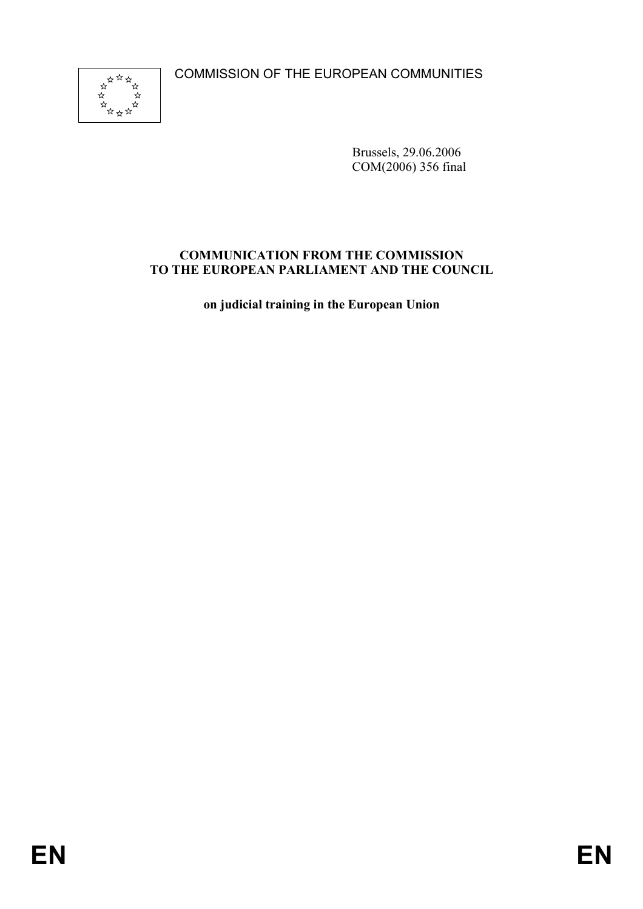COMMISSION OF THE EUROPEAN COMMUNITIES



Brussels, 29.06.2006 COM(2006) 356 final

# **COMMUNICATION FROM THE COMMISSION TO THE EUROPEAN PARLIAMENT AND THE COUNCIL**

**on judicial training in the European Union**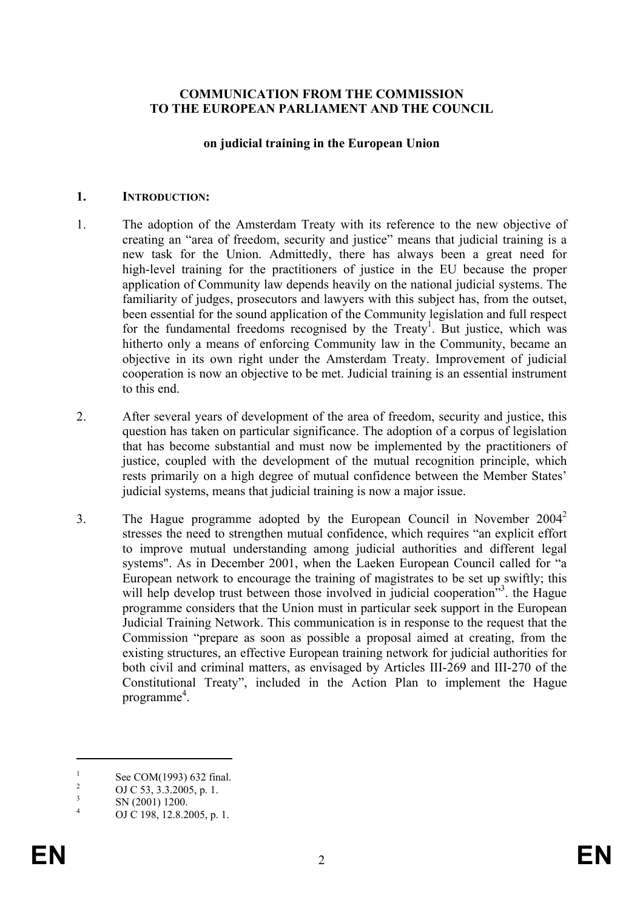#### **COMMUNICATION FROM THE COMMISSION TO THE EUROPEAN PARLIAMENT AND THE COUNCIL**

#### **on judicial training in the European Union**

#### **1. INTRODUCTION:**

- 1. The adoption of the Amsterdam Treaty with its reference to the new objective of creating an "area of freedom, security and justice" means that judicial training is a new task for the Union. Admittedly, there has always been a great need for high-level training for the practitioners of justice in the EU because the proper application of Community law depends heavily on the national judicial systems. The familiarity of judges, prosecutors and lawyers with this subject has, from the outset, been essential for the sound application of the Community legislation and full respect for the fundamental freedoms recognised by the Treaty<sup>1</sup>. But justice, which was hitherto only a means of enforcing Community law in the Community, became an objective in its own right under the Amsterdam Treaty. Improvement of judicial cooperation is now an objective to be met. Judicial training is an essential instrument to this end.
- 2. After several years of development of the area of freedom, security and justice, this question has taken on particular significance. The adoption of a corpus of legislation that has become substantial and must now be implemented by the practitioners of justice, coupled with the development of the mutual recognition principle, which rests primarily on a high degree of mutual confidence between the Member States' judicial systems, means that judicial training is now a major issue.
- 3. The Hague programme adopted by the European Council in November 2004<sup>2</sup> stresses the need to strengthen mutual confidence, which requires "an explicit effort to improve mutual understanding among judicial authorities and different legal systems". As in December 2001, when the Laeken European Council called for "a European network to encourage the training of magistrates to be set up swiftly; this will help develop trust between those involved in judicial cooperation<sup>33</sup>. the Hague programme considers that the Union must in particular seek support in the European Judicial Training Network. This communication is in response to the request that the Commission "prepare as soon as possible a proposal aimed at creating, from the existing structures, an effective European training network for judicial authorities for both civil and criminal matters, as envisaged by Articles III-269 and III-270 of the Constitutional Treaty", included in the Action Plan to implement the Hague programme<sup>4</sup>.

<sup>1</sup> See COM(1993) 632 final.

 $\overline{2}$ OJ C 53, 3.3.2005, p. 1.

<sup>3</sup> SN (2001) 1200.

<sup>4</sup> OJ C 198, 12.8.2005, p. 1.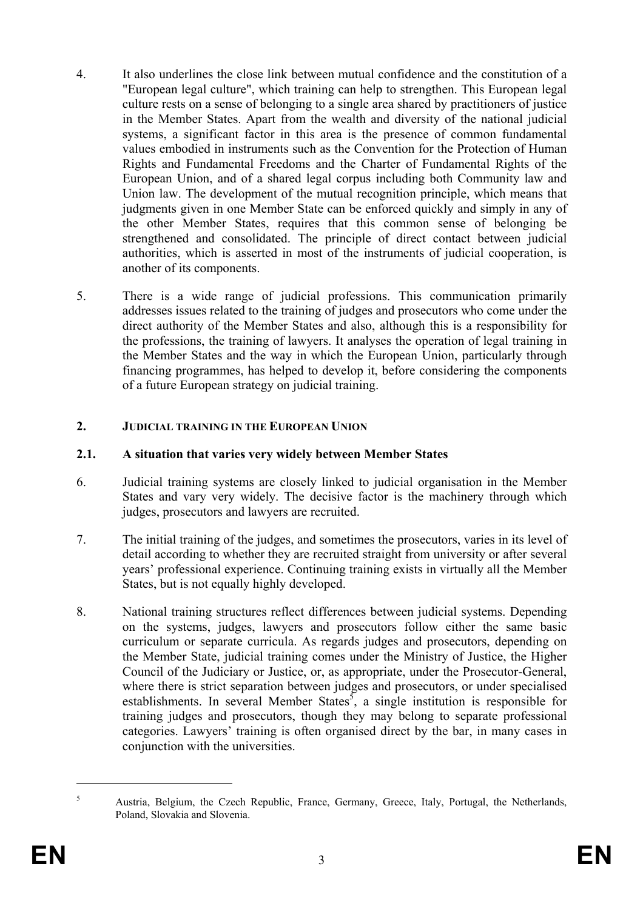- 4. It also underlines the close link between mutual confidence and the constitution of a "European legal culture", which training can help to strengthen. This European legal culture rests on a sense of belonging to a single area shared by practitioners of justice in the Member States. Apart from the wealth and diversity of the national judicial systems, a significant factor in this area is the presence of common fundamental values embodied in instruments such as the Convention for the Protection of Human Rights and Fundamental Freedoms and the Charter of Fundamental Rights of the European Union, and of a shared legal corpus including both Community law and Union law. The development of the mutual recognition principle, which means that judgments given in one Member State can be enforced quickly and simply in any of the other Member States, requires that this common sense of belonging be strengthened and consolidated. The principle of direct contact between judicial authorities, which is asserted in most of the instruments of judicial cooperation, is another of its components.
- 5. There is a wide range of judicial professions. This communication primarily addresses issues related to the training of judges and prosecutors who come under the direct authority of the Member States and also, although this is a responsibility for the professions, the training of lawyers. It analyses the operation of legal training in the Member States and the way in which the European Union, particularly through financing programmes, has helped to develop it, before considering the components of a future European strategy on judicial training.

# **2. JUDICIAL TRAINING IN THE EUROPEAN UNION**

#### **2.1. A situation that varies very widely between Member States**

- 6. Judicial training systems are closely linked to judicial organisation in the Member States and vary very widely. The decisive factor is the machinery through which judges, prosecutors and lawyers are recruited.
- 7. The initial training of the judges, and sometimes the prosecutors, varies in its level of detail according to whether they are recruited straight from university or after several years' professional experience. Continuing training exists in virtually all the Member States, but is not equally highly developed.
- 8. National training structures reflect differences between judicial systems. Depending on the systems, judges, lawyers and prosecutors follow either the same basic curriculum or separate curricula. As regards judges and prosecutors, depending on the Member State, judicial training comes under the Ministry of Justice, the Higher Council of the Judiciary or Justice, or, as appropriate, under the Prosecutor-General, where there is strict separation between judges and prosecutors, or under specialised establishments. In several Member States<sup>5</sup>, a single institution is responsible for training judges and prosecutors, though they may belong to separate professional categories. Lawyers' training is often organised direct by the bar, in many cases in conjunction with the universities.

<sup>5</sup> Austria, Belgium, the Czech Republic, France, Germany, Greece, Italy, Portugal, the Netherlands, Poland, Slovakia and Slovenia.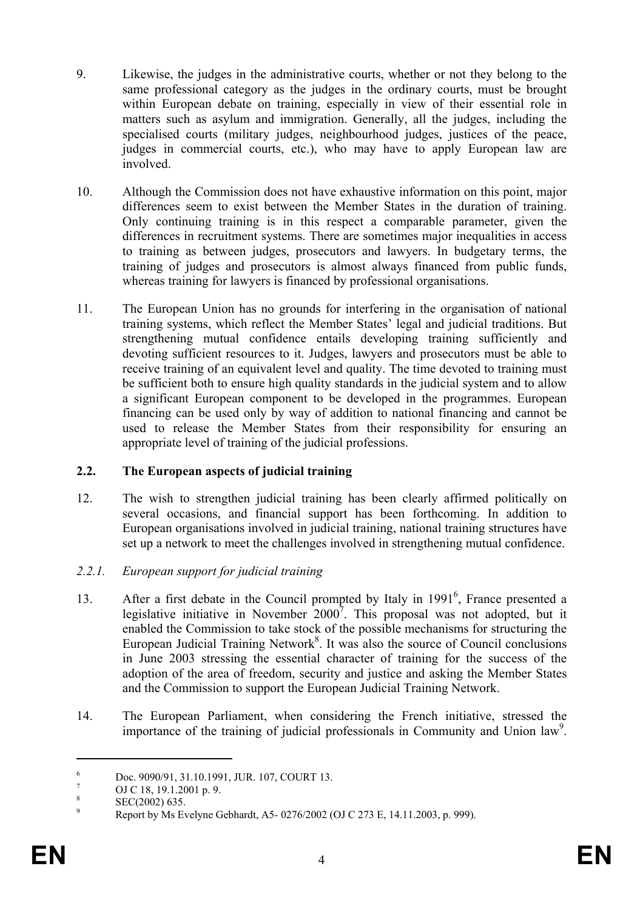- 9. Likewise, the judges in the administrative courts, whether or not they belong to the same professional category as the judges in the ordinary courts, must be brought within European debate on training, especially in view of their essential role in matters such as asylum and immigration. Generally, all the judges, including the specialised courts (military judges, neighbourhood judges, justices of the peace, judges in commercial courts, etc.), who may have to apply European law are involved.
- 10. Although the Commission does not have exhaustive information on this point, major differences seem to exist between the Member States in the duration of training. Only continuing training is in this respect a comparable parameter, given the differences in recruitment systems. There are sometimes major inequalities in access to training as between judges, prosecutors and lawyers. In budgetary terms, the training of judges and prosecutors is almost always financed from public funds, whereas training for lawyers is financed by professional organisations.
- 11. The European Union has no grounds for interfering in the organisation of national training systems, which reflect the Member States' legal and judicial traditions. But strengthening mutual confidence entails developing training sufficiently and devoting sufficient resources to it. Judges, lawyers and prosecutors must be able to receive training of an equivalent level and quality. The time devoted to training must be sufficient both to ensure high quality standards in the judicial system and to allow a significant European component to be developed in the programmes. European financing can be used only by way of addition to national financing and cannot be used to release the Member States from their responsibility for ensuring an appropriate level of training of the judicial professions.

# **2.2. The European aspects of judicial training**

- 12. The wish to strengthen judicial training has been clearly affirmed politically on several occasions, and financial support has been forthcoming. In addition to European organisations involved in judicial training, national training structures have set up a network to meet the challenges involved in strengthening mutual confidence.
- *2.2.1. European support for judicial training*
- 13. After a first debate in the Council prompted by Italy in 1991<sup>6</sup>, France presented a legislative initiative in November  $2000^7$ . This proposal was not adopted, but it enabled the Commission to take stock of the possible mechanisms for structuring the European Judicial Training Network $<sup>8</sup>$ . It was also the source of Council conclusions</sup> in June 2003 stressing the essential character of training for the success of the adoption of the area of freedom, security and justice and asking the Member States and the Commission to support the European Judicial Training Network.
- 14. The European Parliament, when considering the French initiative, stressed the importance of the training of judicial professionals in Community and Union law<sup>9</sup>.

<sup>6</sup> Doc. 9090/91, 31.10.1991, JUR. 107, COURT 13. 7

OJ C 18, 19.1.2001 p. 9.

<sup>8</sup> SEC(2002) 635. 9

Report by Ms Evelyne Gebhardt, A5- 0276/2002 (OJ C 273 E, 14.11.2003, p. 999).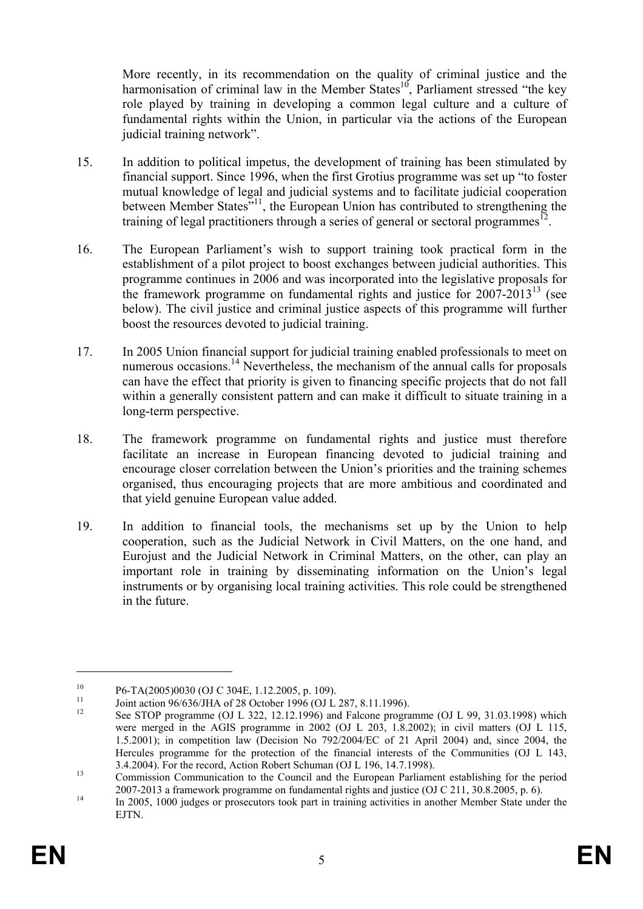More recently, in its recommendation on the quality of criminal justice and the harmonisation of criminal law in the Member States<sup>10</sup>, Parliament stressed "the key role played by training in developing a common legal culture and a culture of fundamental rights within the Union, in particular via the actions of the European judicial training network".

- 15. In addition to political impetus, the development of training has been stimulated by financial support. Since 1996, when the first Grotius programme was set up "to foster mutual knowledge of legal and judicial systems and to facilitate judicial cooperation between Member States"<sup>11</sup>, the European Union has contributed to strengthening the training of legal practitioners through a series of general or sectoral programmes<sup>12</sup>.
- 16. The European Parliament's wish to support training took practical form in the establishment of a pilot project to boost exchanges between judicial authorities. This programme continues in 2006 and was incorporated into the legislative proposals for the framework programme on fundamental rights and justice for  $2007-2013^{13}$  (see below). The civil justice and criminal justice aspects of this programme will further boost the resources devoted to judicial training.
- 17. In 2005 Union financial support for judicial training enabled professionals to meet on numerous occasions.<sup>14</sup> Nevertheless, the mechanism of the annual calls for proposals can have the effect that priority is given to financing specific projects that do not fall within a generally consistent pattern and can make it difficult to situate training in a long-term perspective.
- 18. The framework programme on fundamental rights and justice must therefore facilitate an increase in European financing devoted to judicial training and encourage closer correlation between the Union's priorities and the training schemes organised, thus encouraging projects that are more ambitious and coordinated and that yield genuine European value added.
- 19. In addition to financial tools, the mechanisms set up by the Union to help cooperation, such as the Judicial Network in Civil Matters, on the one hand, and Eurojust and the Judicial Network in Criminal Matters, on the other, can play an important role in training by disseminating information on the Union's legal instruments or by organising local training activities. This role could be strengthened in the future.

<sup>&</sup>lt;sup>10</sup> P6-TA(2005)0030 (OJ C 304E, 1.12.2005, p. 109).

<sup>&</sup>lt;sup>11</sup> Joint action 96/636/JHA of 28 October 1996 (OJ L 287, 8.11.1996).

<sup>12</sup> See STOP programme (OJ L 322, 12.12.1996) and Falcone programme (OJ L 99, 31.03.1998) which were merged in the AGIS programme in 2002 (OJ L 203, 1.8.2002); in civil matters (OJ L 115, 1.5.2001); in competition law (Decision No 792/2004/EC of 21 April 2004) and, since 2004, the Hercules programme for the protection of the financial interests of the Communities (OJ L 143, 3.4.2004). For the record, Action Robert Schuman (OJ L 196, 14.7.1998).<br>
Commission Communication to the Council and the European Parliament establishing for the period

<sup>&</sup>lt;sup>14</sup> <sup>14</sup> In 2005, 1000 judges or prosecutors took part in training activities in another Member State under the

EJTN.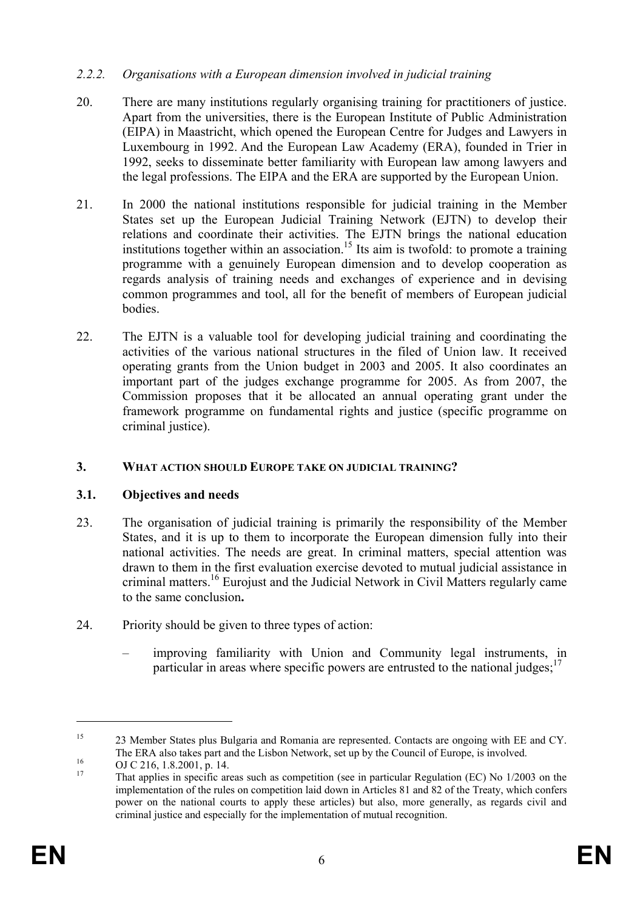#### *2.2.2. Organisations with a European dimension involved in judicial training*

- 20. There are many institutions regularly organising training for practitioners of justice. Apart from the universities, there is the European Institute of Public Administration (EIPA) in Maastricht, which opened the European Centre for Judges and Lawyers in Luxembourg in 1992. And the European Law Academy (ERA), founded in Trier in 1992, seeks to disseminate better familiarity with European law among lawyers and the legal professions. The EIPA and the ERA are supported by the European Union.
- 21. In 2000 the national institutions responsible for judicial training in the Member States set up the European Judicial Training Network (EJTN) to develop their relations and coordinate their activities. The EJTN brings the national education institutions together within an association.<sup>15</sup> Its aim is twofold: to promote a training programme with a genuinely European dimension and to develop cooperation as regards analysis of training needs and exchanges of experience and in devising common programmes and tool, all for the benefit of members of European judicial bodies.
- 22. The EJTN is a valuable tool for developing judicial training and coordinating the activities of the various national structures in the filed of Union law. It received operating grants from the Union budget in 2003 and 2005. It also coordinates an important part of the judges exchange programme for 2005. As from 2007, the Commission proposes that it be allocated an annual operating grant under the framework programme on fundamental rights and justice (specific programme on criminal justice).

# **3. WHAT ACTION SHOULD EUROPE TAKE ON JUDICIAL TRAINING?**

# **3.1. Objectives and needs**

- 23. The organisation of judicial training is primarily the responsibility of the Member States, and it is up to them to incorporate the European dimension fully into their national activities. The needs are great. In criminal matters, special attention was drawn to them in the first evaluation exercise devoted to mutual judicial assistance in criminal matters.<sup>16</sup> Eurojust and the Judicial Network in Civil Matters regularly came to the same conclusion**.**
- 24. Priority should be given to three types of action:
	- improving familiarity with Union and Community legal instruments, in particular in areas where specific powers are entrusted to the national judges;  $17$

<sup>&</sup>lt;sup>15</sup> 23 Member States plus Bulgaria and Romania are represented. Contacts are ongoing with EE and CY. The ERA also takes part and the Lisbon Network, set up by the Council of Europe, is involved.<br>
OJ C 216, 1.8.2001, p. 14.

That applies in specific areas such as competition (see in particular Regulation (EC) No 1/2003 on the implementation of the rules on competition laid down in Articles 81 and 82 of the Treaty, which confers power on the national courts to apply these articles) but also, more generally, as regards civil and criminal justice and especially for the implementation of mutual recognition.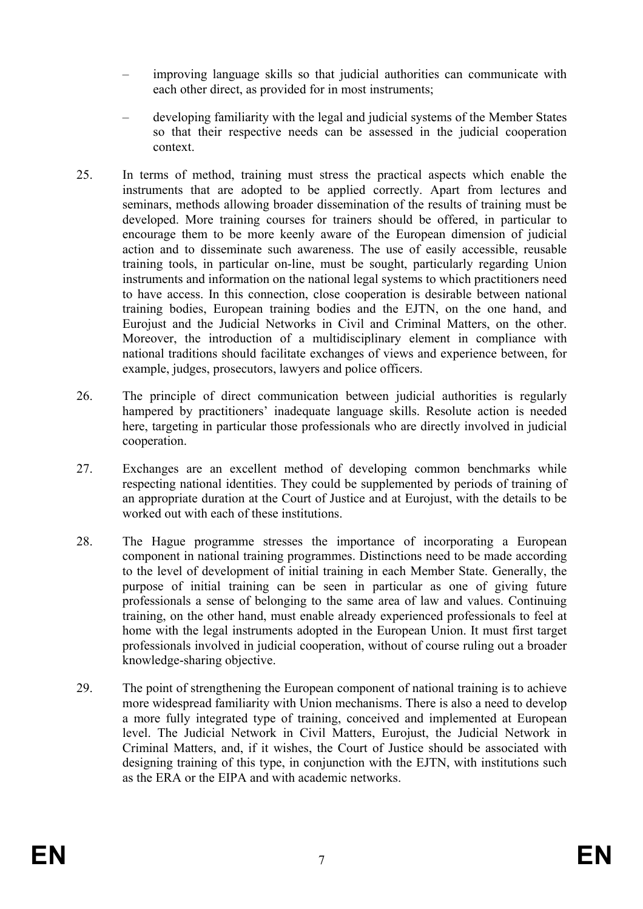- improving language skills so that judicial authorities can communicate with each other direct, as provided for in most instruments;
- developing familiarity with the legal and judicial systems of the Member States so that their respective needs can be assessed in the judicial cooperation context.
- 25. In terms of method, training must stress the practical aspects which enable the instruments that are adopted to be applied correctly. Apart from lectures and seminars, methods allowing broader dissemination of the results of training must be developed. More training courses for trainers should be offered, in particular to encourage them to be more keenly aware of the European dimension of judicial action and to disseminate such awareness. The use of easily accessible, reusable training tools, in particular on-line, must be sought, particularly regarding Union instruments and information on the national legal systems to which practitioners need to have access. In this connection, close cooperation is desirable between national training bodies, European training bodies and the EJTN, on the one hand, and Eurojust and the Judicial Networks in Civil and Criminal Matters, on the other. Moreover, the introduction of a multidisciplinary element in compliance with national traditions should facilitate exchanges of views and experience between, for example, judges, prosecutors, lawyers and police officers.
- 26. The principle of direct communication between judicial authorities is regularly hampered by practitioners' inadequate language skills. Resolute action is needed here, targeting in particular those professionals who are directly involved in judicial cooperation.
- 27. Exchanges are an excellent method of developing common benchmarks while respecting national identities. They could be supplemented by periods of training of an appropriate duration at the Court of Justice and at Eurojust, with the details to be worked out with each of these institutions.
- 28. The Hague programme stresses the importance of incorporating a European component in national training programmes. Distinctions need to be made according to the level of development of initial training in each Member State. Generally, the purpose of initial training can be seen in particular as one of giving future professionals a sense of belonging to the same area of law and values. Continuing training, on the other hand, must enable already experienced professionals to feel at home with the legal instruments adopted in the European Union. It must first target professionals involved in judicial cooperation, without of course ruling out a broader knowledge-sharing objective.
- 29. The point of strengthening the European component of national training is to achieve more widespread familiarity with Union mechanisms. There is also a need to develop a more fully integrated type of training, conceived and implemented at European level. The Judicial Network in Civil Matters, Eurojust, the Judicial Network in Criminal Matters, and, if it wishes, the Court of Justice should be associated with designing training of this type, in conjunction with the EJTN, with institutions such as the ERA or the EIPA and with academic networks.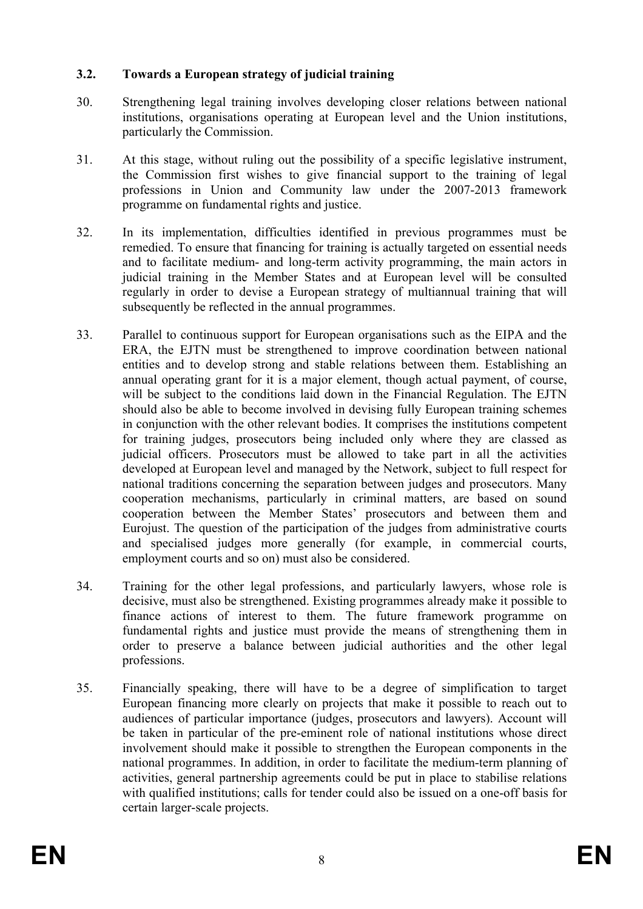# **3.2. Towards a European strategy of judicial training**

- 30. Strengthening legal training involves developing closer relations between national institutions, organisations operating at European level and the Union institutions, particularly the Commission.
- 31. At this stage, without ruling out the possibility of a specific legislative instrument, the Commission first wishes to give financial support to the training of legal professions in Union and Community law under the 2007-2013 framework programme on fundamental rights and justice.
- 32. In its implementation, difficulties identified in previous programmes must be remedied. To ensure that financing for training is actually targeted on essential needs and to facilitate medium- and long-term activity programming, the main actors in judicial training in the Member States and at European level will be consulted regularly in order to devise a European strategy of multiannual training that will subsequently be reflected in the annual programmes.
- 33. Parallel to continuous support for European organisations such as the EIPA and the ERA, the EJTN must be strengthened to improve coordination between national entities and to develop strong and stable relations between them. Establishing an annual operating grant for it is a major element, though actual payment, of course, will be subject to the conditions laid down in the Financial Regulation. The EJTN should also be able to become involved in devising fully European training schemes in conjunction with the other relevant bodies. It comprises the institutions competent for training judges, prosecutors being included only where they are classed as judicial officers. Prosecutors must be allowed to take part in all the activities developed at European level and managed by the Network, subject to full respect for national traditions concerning the separation between judges and prosecutors. Many cooperation mechanisms, particularly in criminal matters, are based on sound cooperation between the Member States' prosecutors and between them and Eurojust. The question of the participation of the judges from administrative courts and specialised judges more generally (for example, in commercial courts, employment courts and so on) must also be considered.
- 34. Training for the other legal professions, and particularly lawyers, whose role is decisive, must also be strengthened. Existing programmes already make it possible to finance actions of interest to them. The future framework programme on fundamental rights and justice must provide the means of strengthening them in order to preserve a balance between judicial authorities and the other legal professions.
- 35. Financially speaking, there will have to be a degree of simplification to target European financing more clearly on projects that make it possible to reach out to audiences of particular importance (judges, prosecutors and lawyers). Account will be taken in particular of the pre-eminent role of national institutions whose direct involvement should make it possible to strengthen the European components in the national programmes. In addition, in order to facilitate the medium-term planning of activities, general partnership agreements could be put in place to stabilise relations with qualified institutions; calls for tender could also be issued on a one-off basis for certain larger-scale projects.